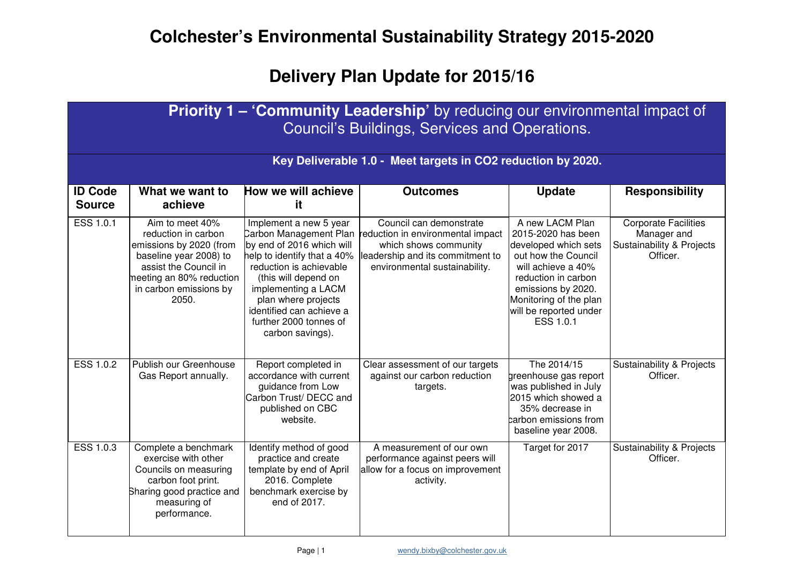## **Delivery Plan Update for 2015/16**

|                                 | Priority 1 - 'Community Leadership' by reducing our environmental impact of<br>Council's Buildings, Services and Operations.                                                        |                                                                                                                                                                                                                                                                                         |                                                                                                                                                            |                                                                                                                                                                                                                          |                                                                                     |  |  |
|---------------------------------|-------------------------------------------------------------------------------------------------------------------------------------------------------------------------------------|-----------------------------------------------------------------------------------------------------------------------------------------------------------------------------------------------------------------------------------------------------------------------------------------|------------------------------------------------------------------------------------------------------------------------------------------------------------|--------------------------------------------------------------------------------------------------------------------------------------------------------------------------------------------------------------------------|-------------------------------------------------------------------------------------|--|--|
|                                 |                                                                                                                                                                                     |                                                                                                                                                                                                                                                                                         | Key Deliverable 1.0 - Meet targets in CO2 reduction by 2020.                                                                                               |                                                                                                                                                                                                                          |                                                                                     |  |  |
| <b>ID Code</b><br><b>Source</b> | What we want to<br>achieve                                                                                                                                                          | How we will achieve<br>it                                                                                                                                                                                                                                                               | <b>Outcomes</b>                                                                                                                                            | <b>Update</b>                                                                                                                                                                                                            | <b>Responsibility</b>                                                               |  |  |
| ESS 1.0.1                       | Aim to meet 40%<br>reduction in carbon<br>emissions by 2020 (from<br>baseline year 2008) to<br>assist the Council in<br>meeting an 80% reduction<br>in carbon emissions by<br>2050. | Implement a new 5 year<br>Carbon Management Plan<br>by end of 2016 which will<br>help to identify that a 40%<br>reduction is achievable<br>(this will depend on<br>implementing a LACM<br>plan where projects<br>identified can achieve a<br>further 2000 tonnes of<br>carbon savings). | Council can demonstrate<br>reduction in environmental impact<br>which shows community<br>leadership and its commitment to<br>environmental sustainability. | A new LACM Plan<br>2015-2020 has been<br>developed which sets<br>out how the Council<br>will achieve a 40%<br>reduction in carbon<br>emissions by 2020.<br>Monitoring of the plan<br>will be reported under<br>ESS 1.0.1 | <b>Corporate Facilities</b><br>Manager and<br>Sustainability & Projects<br>Officer. |  |  |
| <b>ESS 1.0.2</b>                | Publish our Greenhouse<br>Gas Report annually.                                                                                                                                      | Report completed in<br>accordance with current<br>guidance from Low<br>Carbon Trust/ DECC and<br>published on CBC<br>website.                                                                                                                                                           | Clear assessment of our targets<br>against our carbon reduction<br>targets.                                                                                | The 2014/15<br>greenhouse gas report<br>was published in July<br>2015 which showed a<br>35% decrease in<br>carbon emissions from<br>baseline year 2008.                                                                  | <b>Sustainability &amp; Projects</b><br>Officer.                                    |  |  |
| ESS 1.0.3                       | Complete a benchmark<br>exercise with other<br>Councils on measuring<br>carbon foot print.<br>Sharing good practice and<br>measuring of<br>performance.                             | Identify method of good<br>practice and create<br>template by end of April<br>2016. Complete<br>benchmark exercise by<br>end of 2017.                                                                                                                                                   | A measurement of our own<br>performance against peers will<br>allow for a focus on improvement<br>activity.                                                | Target for 2017                                                                                                                                                                                                          | Sustainability & Projects<br>Officer.                                               |  |  |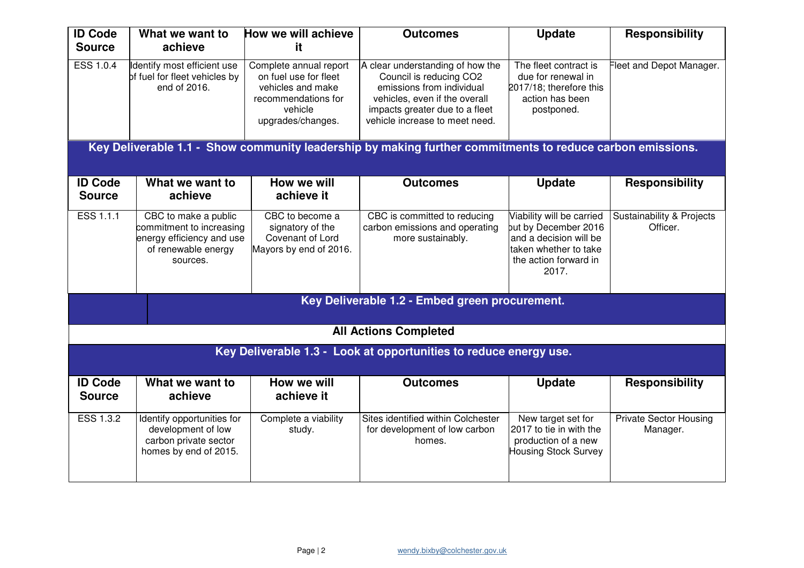| <b>ID Code</b><br><b>Source</b> | What we want to<br>achieve                                                                                       | How we will achieve<br>it                                                                                                   | <b>Outcomes</b>                                                                                                                                                                               | <b>Update</b>                                                                                                                          | <b>Responsibility</b>                     |
|---------------------------------|------------------------------------------------------------------------------------------------------------------|-----------------------------------------------------------------------------------------------------------------------------|-----------------------------------------------------------------------------------------------------------------------------------------------------------------------------------------------|----------------------------------------------------------------------------------------------------------------------------------------|-------------------------------------------|
| ESS 1.0.4                       | Identify most efficient use<br>of fuel for fleet vehicles by<br>end of 2016.                                     | Complete annual report<br>on fuel use for fleet<br>vehicles and make<br>recommendations for<br>vehicle<br>upgrades/changes. | A clear understanding of how the<br>Council is reducing CO2<br>emissions from individual<br>vehicles, even if the overall<br>impacts greater due to a fleet<br>vehicle increase to meet need. | The fleet contract is<br>due for renewal in<br>2017/18; therefore this<br>action has been<br>postponed.                                | Fleet and Depot Manager.                  |
|                                 |                                                                                                                  |                                                                                                                             | Key Deliverable 1.1 - Show community leadership by making further commitments to reduce carbon emissions.                                                                                     |                                                                                                                                        |                                           |
| <b>ID Code</b><br><b>Source</b> | What we want to<br>achieve                                                                                       | How we will<br>achieve it                                                                                                   | <b>Outcomes</b>                                                                                                                                                                               | <b>Update</b>                                                                                                                          | <b>Responsibility</b>                     |
| ESS 1.1.1                       | CBC to make a public<br>commitment to increasing<br>energy efficiency and use<br>of renewable energy<br>sources. | CBC to become a<br>signatory of the<br>Covenant of Lord<br>Mayors by end of 2016.                                           | CBC is committed to reducing<br>carbon emissions and operating<br>more sustainably.                                                                                                           | Viability will be carried<br>but by December 2016<br>and a decision will be<br>taken whether to take<br>the action forward in<br>2017. | Sustainability & Projects<br>Officer.     |
|                                 |                                                                                                                  |                                                                                                                             | Key Deliverable 1.2 - Embed green procurement.                                                                                                                                                |                                                                                                                                        |                                           |
|                                 |                                                                                                                  |                                                                                                                             | <b>All Actions Completed</b>                                                                                                                                                                  |                                                                                                                                        |                                           |
|                                 |                                                                                                                  |                                                                                                                             | Key Deliverable 1.3 - Look at opportunities to reduce energy use.                                                                                                                             |                                                                                                                                        |                                           |
| <b>ID Code</b><br><b>Source</b> | What we want to<br>achieve                                                                                       | How we will<br>achieve it                                                                                                   | <b>Outcomes</b>                                                                                                                                                                               | <b>Update</b>                                                                                                                          | <b>Responsibility</b>                     |
| <b>ESS 1.3.2</b>                | Identify opportunities for<br>development of low<br>carbon private sector<br>homes by end of 2015.               | Complete a viability<br>study.                                                                                              | Sites identified within Colchester<br>for development of low carbon<br>homes.                                                                                                                 | New target set for<br>2017 to tie in with the<br>production of a new<br><b>Housing Stock Survey</b>                                    | <b>Private Sector Housing</b><br>Manager. |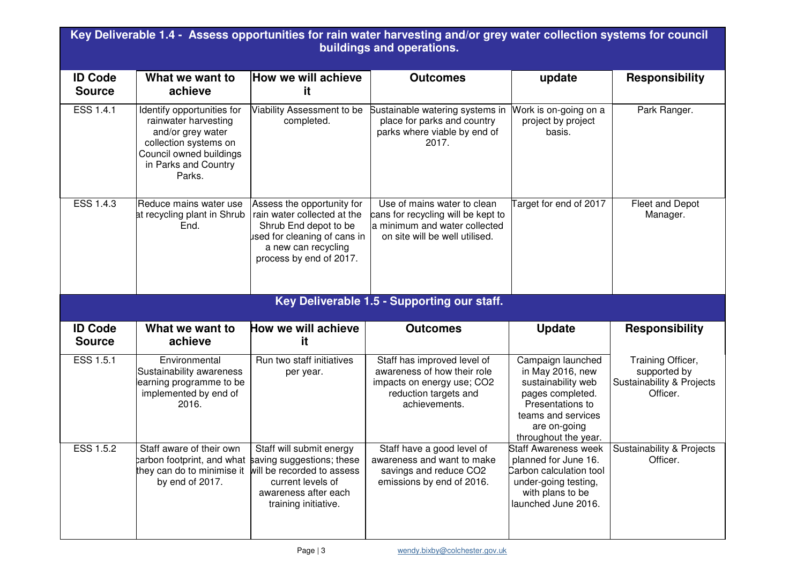| Key Deliverable 1.4 - Assess opportunities for rain water harvesting and/or grey water collection systems for council<br>buildings and operations. |                                                                                                                                                               |                                                                                                                                                                      |                                                                                                                                      |                                                                                                                                                                   |                                                                            |  |
|----------------------------------------------------------------------------------------------------------------------------------------------------|---------------------------------------------------------------------------------------------------------------------------------------------------------------|----------------------------------------------------------------------------------------------------------------------------------------------------------------------|--------------------------------------------------------------------------------------------------------------------------------------|-------------------------------------------------------------------------------------------------------------------------------------------------------------------|----------------------------------------------------------------------------|--|
| <b>ID Code</b><br><b>Source</b>                                                                                                                    | What we want to<br>achieve                                                                                                                                    | How we will achieve<br>it.                                                                                                                                           | <b>Outcomes</b>                                                                                                                      | update                                                                                                                                                            | <b>Responsibility</b>                                                      |  |
| <b>ESS 1.4.1</b>                                                                                                                                   | Identify opportunities for<br>rainwater harvesting<br>and/or grey water<br>collection systems on<br>Council owned buildings<br>in Parks and Country<br>Parks. | Viability Assessment to be<br>completed.                                                                                                                             | Sustainable watering systems in<br>place for parks and country<br>parks where viable by end of<br>2017.                              | Work is on-going on a<br>project by project<br>basis.                                                                                                             | Park Ranger.                                                               |  |
| <b>ESS 1.4.3</b>                                                                                                                                   | Reduce mains water use<br>at recycling plant in Shrub<br>End.                                                                                                 | Assess the opportunity for<br>rain water collected at the<br>Shrub End depot to be<br>used for cleaning of cans in<br>a new can recycling<br>process by end of 2017. | Use of mains water to clean<br>cans for recycling will be kept to<br>a minimum and water collected<br>on site will be well utilised. | Target for end of 2017                                                                                                                                            | Fleet and Depot<br>Manager.                                                |  |
|                                                                                                                                                    |                                                                                                                                                               |                                                                                                                                                                      | Key Deliverable 1.5 - Supporting our staff.                                                                                          |                                                                                                                                                                   |                                                                            |  |
| <b>ID Code</b><br><b>Source</b>                                                                                                                    | What we want to<br>achieve                                                                                                                                    | How we will achieve<br>it                                                                                                                                            | <b>Outcomes</b>                                                                                                                      | <b>Update</b>                                                                                                                                                     | <b>Responsibility</b>                                                      |  |
| ESS 1.5.1                                                                                                                                          | Environmental<br>Sustainability awareness<br>earning programme to be<br>implemented by end of<br>2016.                                                        | Run two staff initiatives<br>per year.                                                                                                                               | Staff has improved level of<br>awareness of how their role<br>impacts on energy use; CO2<br>reduction targets and<br>achievements.   | Campaign launched<br>in May 2016, new<br>sustainability web<br>pages completed.<br>Presentations to<br>teams and services<br>are on-going<br>throughout the year. | Training Officer,<br>supported by<br>Sustainability & Projects<br>Officer. |  |
| <b>ESS 1.5.2</b>                                                                                                                                   | Staff aware of their own<br>parbon footprint, and what saving suggestions; these<br>they can do to minimise it<br>by end of 2017.                             | Staff will submit energy<br>will be recorded to assess<br>current levels of<br>awareness after each<br>training initiative.                                          | Staff have a good level of<br>awareness and want to make<br>savings and reduce CO2<br>emissions by end of 2016.                      | <b>Staff Awareness week</b><br>planned for June 16.<br>Carbon calculation tool<br>under-going testing,<br>with plans to be<br>launched June 2016.                 | <b>Sustainability &amp; Projects</b><br>Officer.                           |  |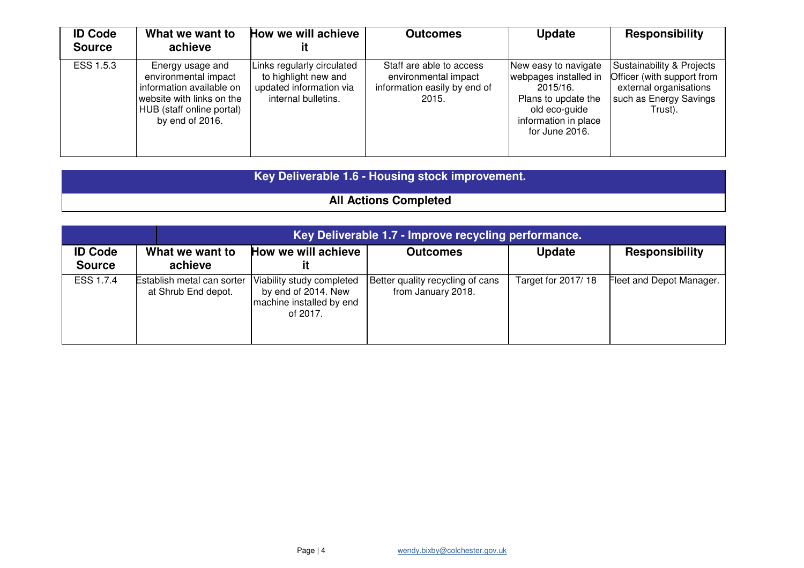| <b>ID Code</b><br><b>Source</b> | What we want to<br>achieve                                                                                                                        | How we will achieve                                                                                  | <b>Outcomes</b>                                                                           | <b>Update</b>                                                                                                                               | <b>Responsibility</b>                                                                                                             |
|---------------------------------|---------------------------------------------------------------------------------------------------------------------------------------------------|------------------------------------------------------------------------------------------------------|-------------------------------------------------------------------------------------------|---------------------------------------------------------------------------------------------------------------------------------------------|-----------------------------------------------------------------------------------------------------------------------------------|
| ESS 1.5.3                       | Energy usage and<br>environmental impact<br>information available on<br>website with links on the<br>HUB (staff online portal)<br>by end of 2016. | Links regularly circulated<br>to highlight new and<br>updated information via<br>internal bulletins. | Staff are able to access<br>environmental impact<br>information easily by end of<br>2015. | New easy to navigate<br>webpages installed in<br>2015/16.<br>Plans to update the<br>old eco-guide<br>information in place<br>for June 2016. | <b>Sustainability &amp; Projects</b><br>Officer (with support from<br>external organisations<br>such as Energy Savings<br>Trust). |

| Key Deliverable 1.6 - Housing stock improvement. |  |
|--------------------------------------------------|--|
| <b>All Actions Completed</b>                     |  |

|                                 |                                                   | Key Deliverable 1.7 - Improve recycling performance.                                     |                                                        |                    |                          |  |  |
|---------------------------------|---------------------------------------------------|------------------------------------------------------------------------------------------|--------------------------------------------------------|--------------------|--------------------------|--|--|
| <b>ID Code</b><br><b>Source</b> | What we want to<br>achieve                        | How we will achieve                                                                      | <b>Outcomes</b>                                        | <b>Update</b>      | <b>Responsibility</b>    |  |  |
| ESS 1.7.4                       | Establish metal can sorter<br>at Shrub End depot. | Viability study completed<br>by end of 2014. New<br>machine installed by end<br>of 2017. | Better quality recycling of cans<br>from January 2018. | Target for 2017/18 | Fleet and Depot Manager. |  |  |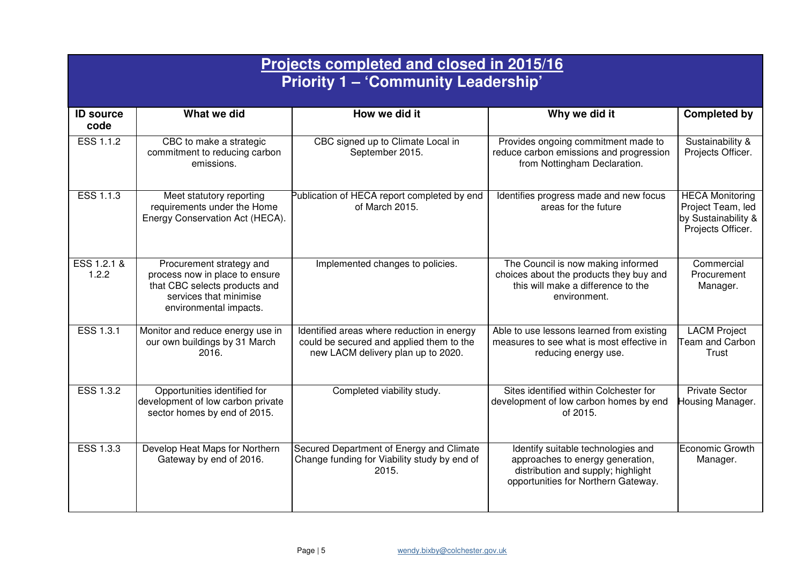|                          | Projects completed and closed in 2015/16<br><b>Priority 1 - 'Community Leadership'</b>                                                          |                                                                                                                              |                                                                                                                                                     |                                                                                         |  |  |  |
|--------------------------|-------------------------------------------------------------------------------------------------------------------------------------------------|------------------------------------------------------------------------------------------------------------------------------|-----------------------------------------------------------------------------------------------------------------------------------------------------|-----------------------------------------------------------------------------------------|--|--|--|
| <b>ID source</b><br>code | What we did                                                                                                                                     | How we did it                                                                                                                | Why we did it                                                                                                                                       | <b>Completed by</b>                                                                     |  |  |  |
| ESS 1.1.2                | CBC to make a strategic<br>commitment to reducing carbon<br>emissions.                                                                          | CBC signed up to Climate Local in<br>September 2015.                                                                         | Provides ongoing commitment made to<br>reduce carbon emissions and progression<br>from Nottingham Declaration.                                      | Sustainability &<br>Projects Officer.                                                   |  |  |  |
| ESS 1.1.3                | Meet statutory reporting<br>requirements under the Home<br>Energy Conservation Act (HECA).                                                      | Publication of HECA report completed by end<br>of March 2015.                                                                | Identifies progress made and new focus<br>areas for the future                                                                                      | <b>HECA Monitoring</b><br>Project Team, led<br>by Sustainability &<br>Projects Officer. |  |  |  |
| ESS 1.2.1 &<br>1.2.2     | Procurement strategy and<br>process now in place to ensure<br>that CBC selects products and<br>services that minimise<br>environmental impacts. | Implemented changes to policies.                                                                                             | The Council is now making informed<br>choices about the products they buy and<br>this will make a difference to the<br>environment.                 | Commercial<br>Procurement<br>Manager.                                                   |  |  |  |
| ESS 1.3.1                | Monitor and reduce energy use in<br>our own buildings by 31 March<br>2016.                                                                      | Identified areas where reduction in energy<br>could be secured and applied them to the<br>new LACM delivery plan up to 2020. | Able to use lessons learned from existing<br>measures to see what is most effective in<br>reducing energy use.                                      | <b>LACM Project</b><br><b>Team and Carbon</b><br>Trust                                  |  |  |  |
| ESS 1.3.2                | Opportunities identified for<br>development of low carbon private<br>sector homes by end of 2015.                                               | Completed viability study.                                                                                                   | Sites identified within Colchester for<br>development of low carbon homes by end<br>of 2015.                                                        | <b>Private Sector</b><br>Housing Manager.                                               |  |  |  |
| <b>ESS 1.3.3</b>         | Develop Heat Maps for Northern<br>Gateway by end of 2016.                                                                                       | Secured Department of Energy and Climate<br>Change funding for Viability study by end of<br>2015.                            | Identify suitable technologies and<br>approaches to energy generation,<br>distribution and supply; highlight<br>opportunities for Northern Gateway. | Economic Growth<br>Manager.                                                             |  |  |  |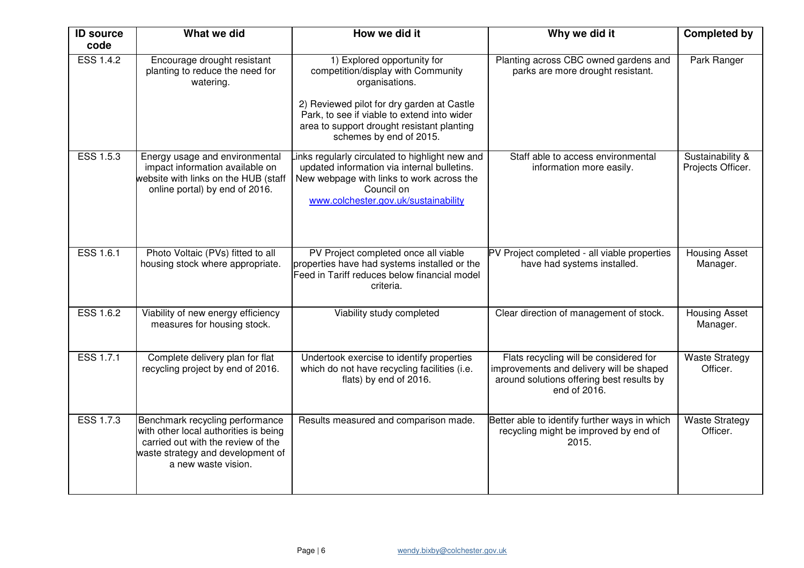| <b>ID source</b><br>code | What we did                                                                                                                                                                | How we did it                                                                                                                                                                                                                                             | Why we did it                                                                                                                                   | <b>Completed by</b>                   |
|--------------------------|----------------------------------------------------------------------------------------------------------------------------------------------------------------------------|-----------------------------------------------------------------------------------------------------------------------------------------------------------------------------------------------------------------------------------------------------------|-------------------------------------------------------------------------------------------------------------------------------------------------|---------------------------------------|
| <b>ESS 1.4.2</b>         | Encourage drought resistant<br>planting to reduce the need for<br>watering.                                                                                                | 1) Explored opportunity for<br>competition/display with Community<br>organisations.<br>2) Reviewed pilot for dry garden at Castle<br>Park, to see if viable to extend into wider<br>area to support drought resistant planting<br>schemes by end of 2015. | Planting across CBC owned gardens and<br>parks are more drought resistant.                                                                      | Park Ranger                           |
| <b>ESS 1.5.3</b>         | Energy usage and environmental<br>impact information available on<br>website with links on the HUB (staff<br>online portal) by end of 2016.                                | inks regularly circulated to highlight new and<br>updated information via internal bulletins.<br>New webpage with links to work across the<br>Council on<br>www.colchester.gov.uk/sustainability                                                          | Staff able to access environmental<br>information more easily.                                                                                  | Sustainability &<br>Projects Officer. |
| <b>ESS 1.6.1</b>         | Photo Voltaic (PVs) fitted to all<br>housing stock where appropriate.                                                                                                      | PV Project completed once all viable<br>properties have had systems installed or the<br>Feed in Tariff reduces below financial model<br>criteria.                                                                                                         | PV Project completed - all viable properties<br>have had systems installed.                                                                     | <b>Housing Asset</b><br>Manager.      |
| ESS 1.6.2                | Viability of new energy efficiency<br>measures for housing stock.                                                                                                          | Viability study completed                                                                                                                                                                                                                                 | Clear direction of management of stock.                                                                                                         | <b>Housing Asset</b><br>Manager.      |
| ESS 1.7.1                | Complete delivery plan for flat<br>recycling project by end of 2016.                                                                                                       | Undertook exercise to identify properties<br>which do not have recycling facilities (i.e.<br>flats) by end of 2016.                                                                                                                                       | Flats recycling will be considered for<br>improvements and delivery will be shaped<br>around solutions offering best results by<br>end of 2016. | <b>Waste Strategy</b><br>Officer.     |
| <b>ESS 1.7.3</b>         | Benchmark recycling performance<br>with other local authorities is being<br>carried out with the review of the<br>waste strategy and development of<br>a new waste vision. | Results measured and comparison made.                                                                                                                                                                                                                     | Better able to identify further ways in which<br>recycling might be improved by end of<br>2015.                                                 | <b>Waste Strategy</b><br>Officer.     |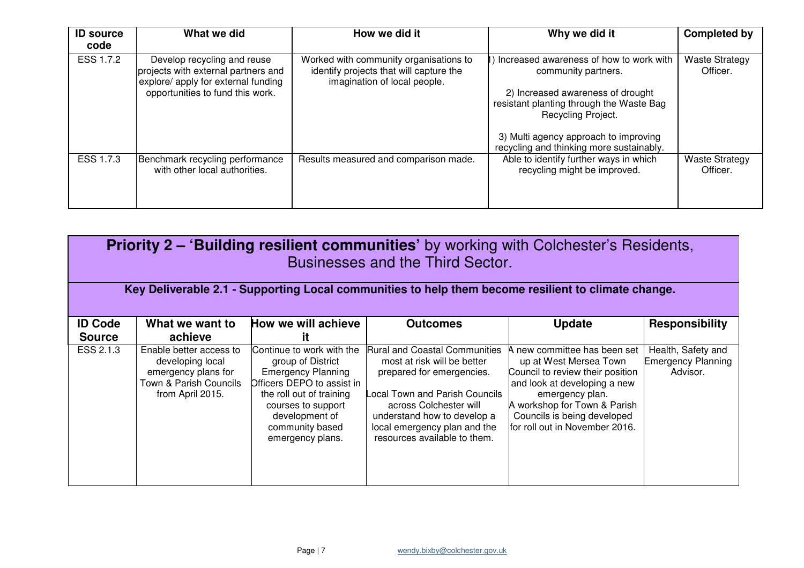| <b>ID source</b><br>code | What we did                                                                                                                                   | How we did it                                                                                                     | Why we did it                                                                                                                                                                                                                                              | <b>Completed by</b>               |
|--------------------------|-----------------------------------------------------------------------------------------------------------------------------------------------|-------------------------------------------------------------------------------------------------------------------|------------------------------------------------------------------------------------------------------------------------------------------------------------------------------------------------------------------------------------------------------------|-----------------------------------|
| ESS 1.7.2                | Develop recycling and reuse<br>projects with external partners and<br>explore/ apply for external funding<br>opportunities to fund this work. | Worked with community organisations to<br>identify projects that will capture the<br>imagination of local people. | Increased awareness of how to work with<br>community partners.<br>2) Increased awareness of drought<br>resistant planting through the Waste Bag<br>Recycling Project.<br>3) Multi agency approach to improving<br>recycling and thinking more sustainably. | <b>Waste Strategy</b><br>Officer. |
| ESS 1.7.3                | Benchmark recycling performance<br>with other local authorities.                                                                              | Results measured and comparison made.                                                                             | Able to identify further ways in which<br>recycling might be improved.                                                                                                                                                                                     | <b>Waste Strategy</b><br>Officer. |

| <b>Priority 2 – 'Building resilient communities'</b> by working with Colchester's Residents,<br>Businesses and the Third Sector. |                                                                                                                  |                                                                                                                                                                                                                      |                                                                                                                                                                                                                                                            |                                                                                                                                                                                                                                                |                                                             |  |
|----------------------------------------------------------------------------------------------------------------------------------|------------------------------------------------------------------------------------------------------------------|----------------------------------------------------------------------------------------------------------------------------------------------------------------------------------------------------------------------|------------------------------------------------------------------------------------------------------------------------------------------------------------------------------------------------------------------------------------------------------------|------------------------------------------------------------------------------------------------------------------------------------------------------------------------------------------------------------------------------------------------|-------------------------------------------------------------|--|
|                                                                                                                                  |                                                                                                                  |                                                                                                                                                                                                                      | Key Deliverable 2.1 - Supporting Local communities to help them become resilient to climate change.                                                                                                                                                        |                                                                                                                                                                                                                                                |                                                             |  |
| <b>ID Code</b><br><b>Source</b>                                                                                                  | What we want to<br>achieve                                                                                       | How we will achieve<br>it                                                                                                                                                                                            | <b>Outcomes</b>                                                                                                                                                                                                                                            | <b>Update</b>                                                                                                                                                                                                                                  | <b>Responsibility</b>                                       |  |
| ESS 2.1.3                                                                                                                        | Enable better access to<br>developing local<br>emergency plans for<br>Town & Parish Councils<br>from April 2015. | Continue to work with the<br>group of District<br><b>Emergency Planning</b><br>Officers DEPO to assist in<br>the roll out of training<br>courses to support<br>development of<br>community based<br>emergency plans. | <b>Rural and Coastal Communities</b><br>most at risk will be better<br>prepared for emergencies.<br>ocal Town and Parish Councils<br>across Colchester will<br>understand how to develop a<br>local emergency plan and the<br>resources available to them. | A new committee has been set<br>up at West Mersea Town<br>Council to review their position<br>and look at developing a new<br>emergency plan.<br>A workshop for Town & Parish<br>Councils is being developed<br>for roll out in November 2016. | Health, Safety and<br><b>Emergency Planning</b><br>Advisor. |  |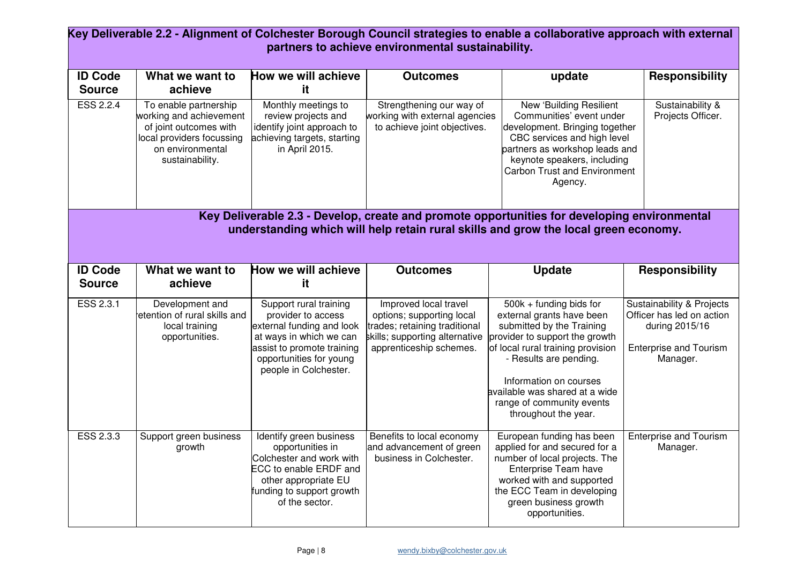| Key Deliverable 2.2 - Alignment of Colchester Borough Council strategies to enable a collaborative approach with external<br>partners to achieve environmental sustainability.      |                                                                                                                                                |                                                                                                                                                                                        |                                                                                                                                                  |                                                                                                                                                                                                                                                                                                     |                                                                                                                                  |  |
|-------------------------------------------------------------------------------------------------------------------------------------------------------------------------------------|------------------------------------------------------------------------------------------------------------------------------------------------|----------------------------------------------------------------------------------------------------------------------------------------------------------------------------------------|--------------------------------------------------------------------------------------------------------------------------------------------------|-----------------------------------------------------------------------------------------------------------------------------------------------------------------------------------------------------------------------------------------------------------------------------------------------------|----------------------------------------------------------------------------------------------------------------------------------|--|
| <b>ID Code</b><br><b>Source</b>                                                                                                                                                     | What we want to<br>achieve                                                                                                                     | How we will achieve<br>it.                                                                                                                                                             | <b>Outcomes</b>                                                                                                                                  | update                                                                                                                                                                                                                                                                                              | <b>Responsibility</b>                                                                                                            |  |
| <b>ESS 2.2.4</b>                                                                                                                                                                    | To enable partnership<br>working and achievement<br>of joint outcomes with<br>local providers focussing<br>on environmental<br>sustainability. | Monthly meetings to<br>review projects and<br>identify joint approach to<br>achieving targets, starting<br>in April 2015.                                                              | Strengthening our way of<br>working with external agencies<br>to achieve joint objectives.                                                       | New 'Building Resilient<br>Communities' event under<br>development. Bringing together<br>CBC services and high level<br>partners as workshop leads and<br>keynote speakers, including<br><b>Carbon Trust and Environment</b><br>Agency.                                                             | Sustainability &<br>Projects Officer.                                                                                            |  |
| Key Deliverable 2.3 - Develop, create and promote opportunities for developing environmental<br>understanding which will help retain rural skills and grow the local green economy. |                                                                                                                                                |                                                                                                                                                                                        |                                                                                                                                                  |                                                                                                                                                                                                                                                                                                     |                                                                                                                                  |  |
| <b>ID Code</b><br><b>Source</b>                                                                                                                                                     | What we want to<br>achieve                                                                                                                     | How we will achieve<br>it.                                                                                                                                                             | <b>Outcomes</b>                                                                                                                                  | <b>Update</b>                                                                                                                                                                                                                                                                                       | <b>Responsibility</b>                                                                                                            |  |
| ESS 2.3.1                                                                                                                                                                           | Development and<br>etention of rural skills and<br>local training<br>opportunities.                                                            | Support rural training<br>provider to access<br>external funding and look<br>at ways in which we can<br>assist to promote training<br>opportunities for young<br>people in Colchester. | Improved local travel<br>options; supporting local<br>trades; retaining traditional<br>skills; supporting alternative<br>apprenticeship schemes. | 500k + funding bids for<br>external grants have been<br>submitted by the Training<br>provider to support the growth<br>of local rural training provision<br>- Results are pending.<br>Information on courses<br>available was shared at a wide<br>range of community events<br>throughout the year. | <b>Sustainability &amp; Projects</b><br>Officer has led on action<br>during 2015/16<br><b>Enterprise and Tourism</b><br>Manager. |  |
| ESS 2.3.3                                                                                                                                                                           | Support green business<br>growth                                                                                                               | Identify green business<br>opportunities in<br>Colchester and work with<br>ECC to enable ERDF and<br>other appropriate EU<br>funding to support growth<br>of the sector.               | Benefits to local economy<br>and advancement of green<br>business in Colchester.                                                                 | European funding has been<br>applied for and secured for a<br>number of local projects. The<br>Enterprise Team have<br>worked with and supported<br>the ECC Team in developing<br>green business growth<br>opportunities.                                                                           | <b>Enterprise and Tourism</b><br>Manager.                                                                                        |  |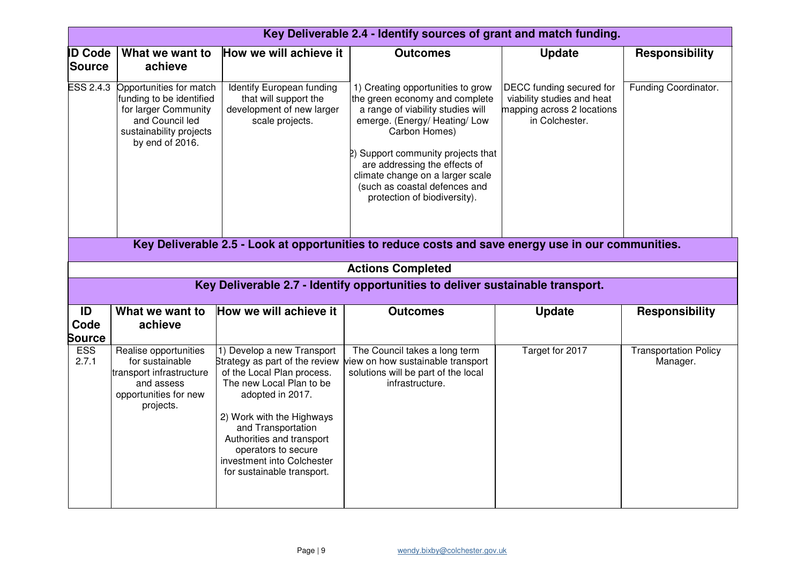|                                 | Key Deliverable 2.4 - Identify sources of grant and match funding.                                                                           |                                                                                                                                                                                                                                                                                                               |                                                                                                                                                                                                                                                                                                                                                                                                                                                                         |                                                                                                        |                                          |  |  |  |
|---------------------------------|----------------------------------------------------------------------------------------------------------------------------------------------|---------------------------------------------------------------------------------------------------------------------------------------------------------------------------------------------------------------------------------------------------------------------------------------------------------------|-------------------------------------------------------------------------------------------------------------------------------------------------------------------------------------------------------------------------------------------------------------------------------------------------------------------------------------------------------------------------------------------------------------------------------------------------------------------------|--------------------------------------------------------------------------------------------------------|------------------------------------------|--|--|--|
| <b>ID Code</b><br><b>Source</b> | What we want to<br>achieve                                                                                                                   | How we will achieve it                                                                                                                                                                                                                                                                                        | <b>Outcomes</b>                                                                                                                                                                                                                                                                                                                                                                                                                                                         | <b>Update</b>                                                                                          | <b>Responsibility</b>                    |  |  |  |
| <b>ESS 2.4.3</b>                | Opportunities for match<br>funding to be identified<br>for larger Community<br>and Council led<br>sustainability projects<br>by end of 2016. | Identify European funding<br>that will support the<br>development of new larger<br>scale projects.                                                                                                                                                                                                            | 1) Creating opportunities to grow<br>the green economy and complete<br>a range of viability studies will<br>emerge. (Energy/Heating/Low<br>Carbon Homes)<br>2) Support community projects that<br>are addressing the effects of<br>climate change on a larger scale<br>(such as coastal defences and<br>protection of biodiversity).<br>Key Deliverable 2.5 - Look at opportunities to reduce costs and save energy use in our communities.<br><b>Actions Completed</b> | DECC funding secured for<br>viability studies and heat<br>mapping across 2 locations<br>in Colchester. | Funding Coordinator.                     |  |  |  |
|                                 |                                                                                                                                              |                                                                                                                                                                                                                                                                                                               | Key Deliverable 2.7 - Identify opportunities to deliver sustainable transport.                                                                                                                                                                                                                                                                                                                                                                                          |                                                                                                        |                                          |  |  |  |
|                                 |                                                                                                                                              |                                                                                                                                                                                                                                                                                                               |                                                                                                                                                                                                                                                                                                                                                                                                                                                                         |                                                                                                        |                                          |  |  |  |
| ID<br>Code<br><b>Source</b>     | What we want to<br>achieve                                                                                                                   | How we will achieve it                                                                                                                                                                                                                                                                                        | <b>Outcomes</b>                                                                                                                                                                                                                                                                                                                                                                                                                                                         | <b>Update</b>                                                                                          | <b>Responsibility</b>                    |  |  |  |
| <b>ESS</b><br>2.7.1             | Realise opportunities<br>for sustainable<br>transport infrastructure<br>and assess<br>opportunities for new<br>projects.                     | 1) Develop a new Transport<br>Strategy as part of the review<br>of the Local Plan process.<br>The new Local Plan to be<br>adopted in 2017.<br>2) Work with the Highways<br>and Transportation<br>Authorities and transport<br>operators to secure<br>investment into Colchester<br>for sustainable transport. | The Council takes a long term<br>view on how sustainable transport<br>solutions will be part of the local<br>infrastructure.                                                                                                                                                                                                                                                                                                                                            | Target for 2017                                                                                        | <b>Transportation Policy</b><br>Manager. |  |  |  |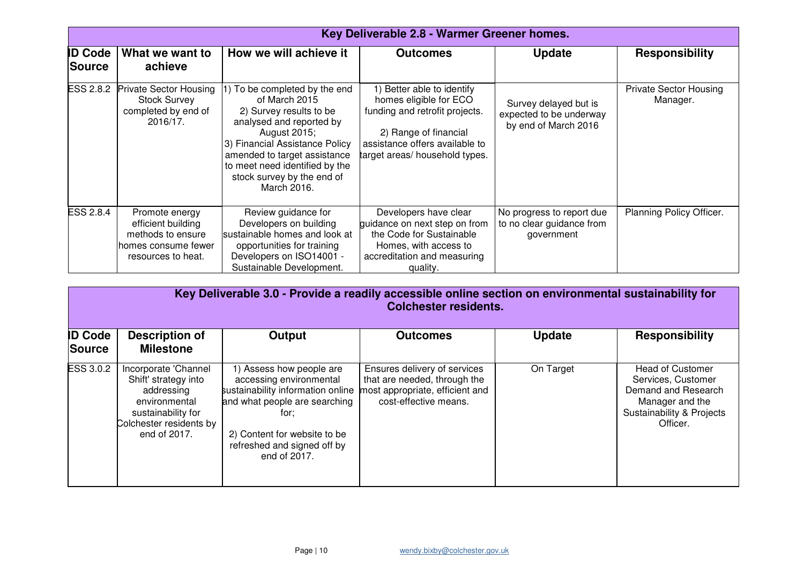|                                 | Key Deliverable 2.8 - Warmer Greener homes.                                                            |                                                                                                                                                                                                                                                                        |                                                                                                                                                                                     |                                                                          |                                           |  |
|---------------------------------|--------------------------------------------------------------------------------------------------------|------------------------------------------------------------------------------------------------------------------------------------------------------------------------------------------------------------------------------------------------------------------------|-------------------------------------------------------------------------------------------------------------------------------------------------------------------------------------|--------------------------------------------------------------------------|-------------------------------------------|--|
| <b>ID Code</b><br><b>Source</b> | What we want to<br>achieve                                                                             | How we will achieve it                                                                                                                                                                                                                                                 | <b>Outcomes</b>                                                                                                                                                                     | <b>Update</b>                                                            | <b>Responsibility</b>                     |  |
| <b>ESS 2.8.2</b>                | <b>Private Sector Housing</b><br><b>Stock Survey</b><br>completed by end of<br>2016/17.                | 1) To be completed by the end<br>of March 2015<br>2) Survey results to be<br>analysed and reported by<br>August 2015;<br>3) Financial Assistance Policy<br>amended to target assistance<br>to meet need identified by the<br>stock survey by the end of<br>March 2016. | 1) Better able to identify<br>homes eligible for ECO<br>funding and retrofit projects.<br>2) Range of financial<br>assistance offers available to<br>target areas/ household types. | Survey delayed but is<br>expected to be underway<br>by end of March 2016 | <b>Private Sector Housing</b><br>Manager. |  |
| <b>ESS 2.8.4</b>                | Promote energy<br>efficient building<br>methods to ensure<br>homes consume fewer<br>resources to heat. | Review guidance for<br>Developers on building<br>sustainable homes and look at<br>opportunities for training<br>Developers on ISO14001 -<br>Sustainable Development.                                                                                                   | Developers have clear<br>guidance on next step on from<br>the Code for Sustainable<br>Homes, with access to<br>accreditation and measuring<br>quality.                              | No progress to report due<br>to no clear guidance from<br>government     | Planning Policy Officer.                  |  |

|                                 | Key Deliverable 3.0 - Provide a readily accessible online section on environmental sustainability for<br><b>Colchester residents.</b>        |                                                                                                                                                                                                                  |                                                                                                                          |               |                                                                                                                                  |  |  |
|---------------------------------|----------------------------------------------------------------------------------------------------------------------------------------------|------------------------------------------------------------------------------------------------------------------------------------------------------------------------------------------------------------------|--------------------------------------------------------------------------------------------------------------------------|---------------|----------------------------------------------------------------------------------------------------------------------------------|--|--|
| <b>ID Code</b><br><b>Source</b> | <b>Description of</b><br><b>Milestone</b>                                                                                                    | Output                                                                                                                                                                                                           | <b>Outcomes</b>                                                                                                          | <b>Update</b> | <b>Responsibility</b>                                                                                                            |  |  |
| <b>ESS 3.0.2</b>                | Incorporate 'Channel<br>Shift' strategy into<br>addressing<br>environmental<br>sustainability for<br>Colchester residents by<br>end of 2017. | 1) Assess how people are<br>accessing environmental<br>sustainability information online<br>and what people are searching<br>for:<br>2) Content for website to be<br>refreshed and signed off by<br>end of 2017. | Ensures delivery of services<br>that are needed, through the<br>most appropriate, efficient and<br>cost-effective means. | On Target     | <b>Head of Customer</b><br>Services, Customer<br>Demand and Research<br>Manager and the<br>Sustainability & Projects<br>Officer. |  |  |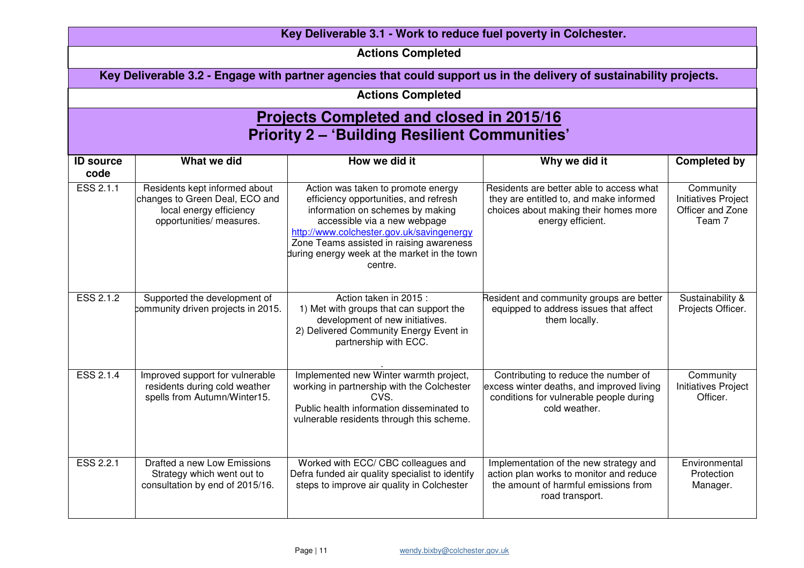| Key Deliverable 3.1 - Work to reduce fuel poverty in Colchester.                                        |                                                                                                                        |                                                                                                                                                                                                                                                                                                     |                                                                                                                                                   |                                                                       |  |  |  |
|---------------------------------------------------------------------------------------------------------|------------------------------------------------------------------------------------------------------------------------|-----------------------------------------------------------------------------------------------------------------------------------------------------------------------------------------------------------------------------------------------------------------------------------------------------|---------------------------------------------------------------------------------------------------------------------------------------------------|-----------------------------------------------------------------------|--|--|--|
| <b>Actions Completed</b>                                                                                |                                                                                                                        |                                                                                                                                                                                                                                                                                                     |                                                                                                                                                   |                                                                       |  |  |  |
|                                                                                                         | Key Deliverable 3.2 - Engage with partner agencies that could support us in the delivery of sustainability projects.   |                                                                                                                                                                                                                                                                                                     |                                                                                                                                                   |                                                                       |  |  |  |
|                                                                                                         |                                                                                                                        | <b>Actions Completed</b>                                                                                                                                                                                                                                                                            |                                                                                                                                                   |                                                                       |  |  |  |
| <b>Projects Completed and closed in 2015/16</b><br><b>Priority 2 - 'Building Resilient Communities'</b> |                                                                                                                        |                                                                                                                                                                                                                                                                                                     |                                                                                                                                                   |                                                                       |  |  |  |
| <b>ID source</b><br>code                                                                                | What we did                                                                                                            | How we did it                                                                                                                                                                                                                                                                                       | Why we did it                                                                                                                                     | <b>Completed by</b>                                                   |  |  |  |
| ESS 2.1.1                                                                                               | Residents kept informed about<br>changes to Green Deal, ECO and<br>local energy efficiency<br>opportunities/ measures. | Action was taken to promote energy<br>efficiency opportunities, and refresh<br>information on schemes by making<br>accessible via a new webpage<br>http://www.colchester.gov.uk/savingenergy<br>Zone Teams assisted in raising awareness<br>during energy week at the market in the town<br>centre. | Residents are better able to access what<br>they are entitled to, and make informed<br>choices about making their homes more<br>energy efficient. | Community<br><b>Initiatives Project</b><br>Officer and Zone<br>Team 7 |  |  |  |
| ESS 2.1.2                                                                                               | Supported the development of<br>community driven projects in 2015.                                                     | Action taken in 2015 :<br>1) Met with groups that can support the<br>development of new initiatives.<br>2) Delivered Community Energy Event in<br>partnership with ECC.                                                                                                                             | Resident and community groups are better<br>equipped to address issues that affect<br>them locally.                                               | Sustainability &<br>Projects Officer.                                 |  |  |  |
| ESS 2.1.4                                                                                               | Improved support for vulnerable<br>residents during cold weather<br>spells from Autumn/Winter15.                       | Implemented new Winter warmth project,<br>working in partnership with the Colchester<br>CVS.<br>Public health information disseminated to<br>vulnerable residents through this scheme.                                                                                                              | Contributing to reduce the number of<br>excess winter deaths, and improved living<br>conditions for vulnerable people during<br>cold weather.     | Community<br><b>Initiatives Project</b><br>Officer.                   |  |  |  |
| <b>ESS 2.2.1</b>                                                                                        | Drafted a new Low Emissions<br>Strategy which went out to<br>consultation by end of 2015/16.                           | Worked with ECC/ CBC colleagues and<br>Defra funded air quality specialist to identify<br>steps to improve air quality in Colchester                                                                                                                                                                | Implementation of the new strategy and<br>action plan works to monitor and reduce<br>the amount of harmful emissions from<br>road transport.      | Environmental<br>Protection<br>Manager.                               |  |  |  |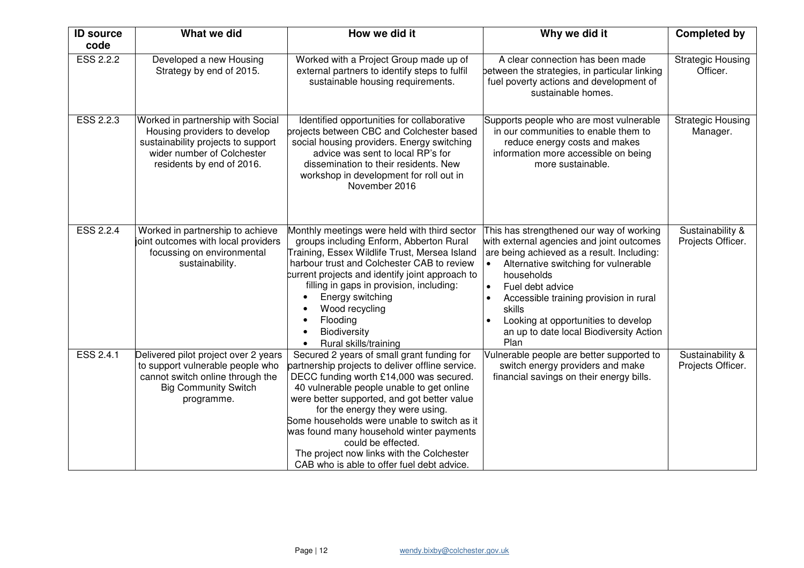| <b>ID source</b> | What we did                                                                                                                                                        | How we did it                                                                                                                                                                                                                                                                                                                                                                                                                                                                        | Why we did it                                                                                                                                                                                                                                                                                                                                                                         | <b>Completed by</b>                   |
|------------------|--------------------------------------------------------------------------------------------------------------------------------------------------------------------|--------------------------------------------------------------------------------------------------------------------------------------------------------------------------------------------------------------------------------------------------------------------------------------------------------------------------------------------------------------------------------------------------------------------------------------------------------------------------------------|---------------------------------------------------------------------------------------------------------------------------------------------------------------------------------------------------------------------------------------------------------------------------------------------------------------------------------------------------------------------------------------|---------------------------------------|
| code             |                                                                                                                                                                    |                                                                                                                                                                                                                                                                                                                                                                                                                                                                                      |                                                                                                                                                                                                                                                                                                                                                                                       |                                       |
| <b>ESS 2.2.2</b> | Developed a new Housing<br>Strategy by end of 2015.                                                                                                                | Worked with a Project Group made up of<br>external partners to identify steps to fulfil<br>sustainable housing requirements.                                                                                                                                                                                                                                                                                                                                                         | A clear connection has been made<br>between the strategies, in particular linking<br>fuel poverty actions and development of<br>sustainable homes.                                                                                                                                                                                                                                    | <b>Strategic Housing</b><br>Officer.  |
| ESS 2.2.3        | Worked in partnership with Social<br>Housing providers to develop<br>sustainability projects to support<br>wider number of Colchester<br>residents by end of 2016. | Identified opportunities for collaborative<br>projects between CBC and Colchester based<br>social housing providers. Energy switching<br>advice was sent to local RP's for<br>dissemination to their residents. New<br>workshop in development for roll out in<br>November 2016                                                                                                                                                                                                      | Supports people who are most vulnerable<br>in our communities to enable them to<br>reduce energy costs and makes<br>information more accessible on being<br>more sustainable.                                                                                                                                                                                                         | <b>Strategic Housing</b><br>Manager.  |
| ESS 2.2.4        | Worked in partnership to achieve<br>joint outcomes with local providers<br>focussing on environmental<br>sustainability.                                           | Monthly meetings were held with third sector<br>groups including Enform, Abberton Rural<br>Training, Essex Wildlife Trust, Mersea Island<br>harbour trust and Colchester CAB to review<br>current projects and identify joint approach to<br>filling in gaps in provision, including:<br>Energy switching<br>Wood recycling<br>Flooding<br>Biodiversity<br>Rural skills/training                                                                                                     | This has strengthened our way of working<br>with external agencies and joint outcomes<br>are being achieved as a result. Including:<br>Alternative switching for vulnerable<br>households<br>Fuel debt advice<br>$\bullet$<br>Accessible training provision in rural<br>$\bullet$<br>skills<br>Looking at opportunities to develop<br>an up to date local Biodiversity Action<br>Plan | Sustainability &<br>Projects Officer. |
| <b>ESS 2.4.1</b> | Delivered pilot project over 2 years<br>to support vulnerable people who<br>cannot switch online through the<br><b>Big Community Switch</b><br>programme.          | Secured 2 years of small grant funding for<br>partnership projects to deliver offline service.<br>DECC funding worth £14,000 was secured.<br>40 vulnerable people unable to get online<br>were better supported, and got better value<br>for the energy they were using.<br>Some households were unable to switch as it<br>was found many household winter payments<br>could be effected.<br>The project now links with the Colchester<br>CAB who is able to offer fuel debt advice. | Vulnerable people are better supported to<br>switch energy providers and make<br>financial savings on their energy bills.                                                                                                                                                                                                                                                             | Sustainability &<br>Projects Officer. |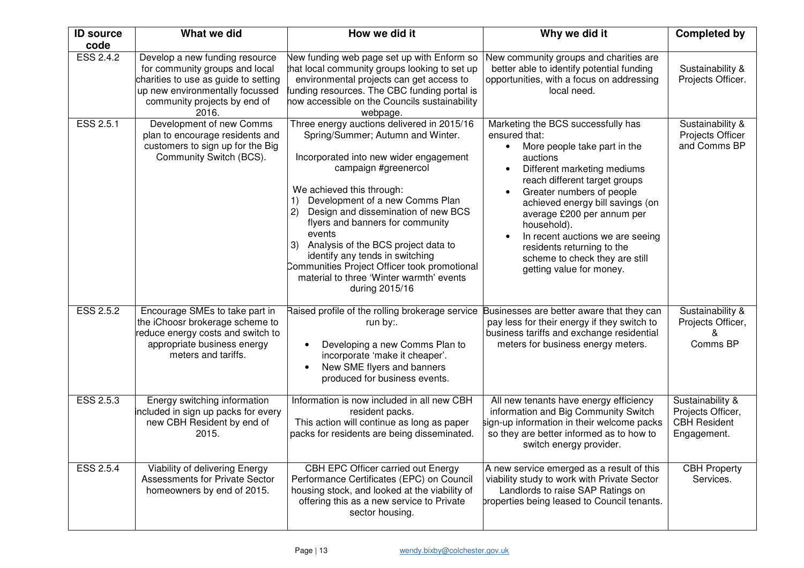| <b>ID source</b><br>code | What we did                                                                                                                                                                          | How we did it                                                                                                                                                                                                                                                                                                                                                                                                                                                                                               | Why we did it                                                                                                                                                                                                                                                                                                                                                                                                 | <b>Completed by</b>                                                         |
|--------------------------|--------------------------------------------------------------------------------------------------------------------------------------------------------------------------------------|-------------------------------------------------------------------------------------------------------------------------------------------------------------------------------------------------------------------------------------------------------------------------------------------------------------------------------------------------------------------------------------------------------------------------------------------------------------------------------------------------------------|---------------------------------------------------------------------------------------------------------------------------------------------------------------------------------------------------------------------------------------------------------------------------------------------------------------------------------------------------------------------------------------------------------------|-----------------------------------------------------------------------------|
| <b>ESS 2.4.2</b>         | Develop a new funding resource<br>for community groups and local<br>charities to use as guide to setting<br>up new environmentally focussed<br>community projects by end of<br>2016. | New funding web page set up with Enform so<br>that local community groups looking to set up<br>environmental projects can get access to<br>funding resources. The CBC funding portal is<br>how accessible on the Councils sustainability<br>webpage.                                                                                                                                                                                                                                                        | New community groups and charities are<br>better able to identify potential funding<br>opportunities, with a focus on addressing<br>local need.                                                                                                                                                                                                                                                               | Sustainability &<br>Projects Officer.                                       |
| ESS 2.5.1                | Development of new Comms<br>plan to encourage residents and<br>customers to sign up for the Big<br>Community Switch (BCS).                                                           | Three energy auctions delivered in 2015/16<br>Spring/Summer; Autumn and Winter.<br>Incorporated into new wider engagement<br>campaign #greenercol<br>We achieved this through:<br>Development of a new Comms Plan<br>Design and dissemination of new BCS<br>(2)<br>flyers and banners for community<br>events<br>Analysis of the BCS project data to<br>3)<br>identify any tends in switching<br>Communities Project Officer took promotional<br>material to three 'Winter warmth' events<br>during 2015/16 | Marketing the BCS successfully has<br>ensured that:<br>More people take part in the<br>auctions<br>Different marketing mediums<br>reach different target groups<br>Greater numbers of people<br>achieved energy bill savings (on<br>average £200 per annum per<br>household).<br>In recent auctions we are seeing<br>residents returning to the<br>scheme to check they are still<br>getting value for money. | Sustainability &<br>Projects Officer<br>and Comms BP                        |
| ESS 2.5.2                | Encourage SMEs to take part in<br>the iChoosr brokerage scheme to<br>reduce energy costs and switch to<br>appropriate business energy<br>meters and tariffs.                         | Raised profile of the rolling brokerage service Businesses are better aware that they can<br>run by:.<br>Developing a new Comms Plan to<br>incorporate 'make it cheaper'.<br>New SME flyers and banners<br>produced for business events.                                                                                                                                                                                                                                                                    | pay less for their energy if they switch to<br>business tariffs and exchange residential<br>meters for business energy meters.                                                                                                                                                                                                                                                                                | Sustainability &<br>Projects Officer,<br>&<br>Comms BP                      |
| ESS 2.5.3                | Energy switching information<br>included in sign up packs for every<br>new CBH Resident by end of<br>2015.                                                                           | Information is now included in all new CBH<br>resident packs.<br>This action will continue as long as paper<br>packs for residents are being disseminated.                                                                                                                                                                                                                                                                                                                                                  | All new tenants have energy efficiency<br>information and Big Community Switch<br>sign-up information in their welcome packs<br>so they are better informed as to how to<br>switch energy provider.                                                                                                                                                                                                           | Sustainability &<br>Projects Officer,<br><b>CBH Resident</b><br>Engagement. |
| ESS 2.5.4                | Viability of delivering Energy<br><b>Assessments for Private Sector</b><br>homeowners by end of 2015.                                                                                | CBH EPC Officer carried out Energy<br>Performance Certificates (EPC) on Council<br>housing stock, and looked at the viability of<br>offering this as a new service to Private<br>sector housing.                                                                                                                                                                                                                                                                                                            | A new service emerged as a result of this<br>viability study to work with Private Sector<br>Landlords to raise SAP Ratings on<br>properties being leased to Council tenants.                                                                                                                                                                                                                                  | <b>CBH Property</b><br>Services.                                            |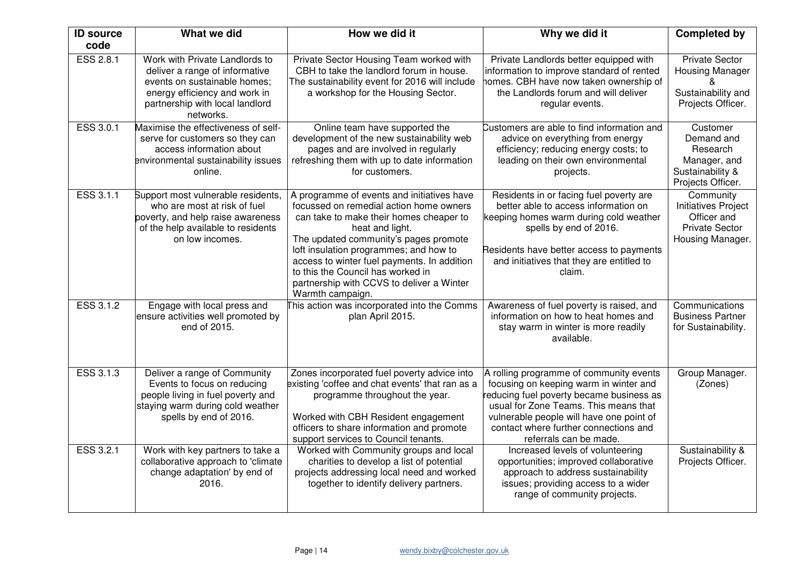| <b>ID source</b> | What we did                                                                                                                                                                       | How we did it                                                                                                                                                                                                                                                                                                                                                                               | Why we did it                                                                                                                                                                                                                                                                         | <b>Completed by</b>                                                                                 |
|------------------|-----------------------------------------------------------------------------------------------------------------------------------------------------------------------------------|---------------------------------------------------------------------------------------------------------------------------------------------------------------------------------------------------------------------------------------------------------------------------------------------------------------------------------------------------------------------------------------------|---------------------------------------------------------------------------------------------------------------------------------------------------------------------------------------------------------------------------------------------------------------------------------------|-----------------------------------------------------------------------------------------------------|
| code             |                                                                                                                                                                                   |                                                                                                                                                                                                                                                                                                                                                                                             |                                                                                                                                                                                                                                                                                       |                                                                                                     |
| ESS 2.8.1        | Work with Private Landlords to<br>deliver a range of informative<br>events on sustainable homes;<br>energy efficiency and work in<br>partnership with local landlord<br>networks. | Private Sector Housing Team worked with<br>CBH to take the landlord forum in house.<br>The sustainability event for 2016 will include<br>a workshop for the Housing Sector.                                                                                                                                                                                                                 | Private Landlords better equipped with<br>information to improve standard of rented<br>homes. CBH have now taken ownership of<br>the Landlords forum and will deliver<br>regular events.                                                                                              | <b>Private Sector</b><br><b>Housing Manager</b><br>Sustainability and<br>Projects Officer.          |
| ESS 3.0.1        | Maximise the effectiveness of self-<br>serve for customers so they can<br>access information about<br>environmental sustainability issues<br>online.                              | Online team have supported the<br>development of the new sustainability web<br>pages and are involved in regularly<br>refreshing them with up to date information<br>for customers.                                                                                                                                                                                                         | Customers are able to find information and<br>advice on everything from energy<br>efficiency; reducing energy costs; to<br>leading on their own environmental<br>projects.                                                                                                            | Customer<br>Demand and<br>Research<br>Manager, and<br>Sustainability &<br>Projects Officer.         |
| ESS 3.1.1        | Support most vulnerable residents,<br>who are most at risk of fuel<br>poverty, and help raise awareness<br>of the help available to residents<br>on low incomes.                  | A programme of events and initiatives have<br>focussed on remedial action home owners<br>can take to make their homes cheaper to<br>heat and light.<br>The updated community's pages promote<br>loft insulation programmes; and how to<br>access to winter fuel payments. In addition<br>to this the Council has worked in<br>partnership with CCVS to deliver a Winter<br>Warmth campaign. | Residents in or facing fuel poverty are<br>better able to access information on<br>keeping homes warm during cold weather<br>spells by end of 2016.<br>Residents have better access to payments<br>and initiatives that they are entitled to<br>claim.                                | Community<br><b>Initiatives Project</b><br>Officer and<br><b>Private Sector</b><br>Housing Manager. |
| ESS 3.1.2        | Engage with local press and<br>ensure activities well promoted by<br>end of 2015.                                                                                                 | This action was incorporated into the Comms<br>plan April 2015.                                                                                                                                                                                                                                                                                                                             | Awareness of fuel poverty is raised, and<br>information on how to heat homes and<br>stay warm in winter is more readily<br>available.                                                                                                                                                 | Communications<br><b>Business Partner</b><br>for Sustainability.                                    |
| ESS 3.1.3        | Deliver a range of Community<br>Events to focus on reducing<br>people living in fuel poverty and<br>staying warm during cold weather<br>spells by end of 2016.                    | Zones incorporated fuel poverty advice into<br>existing 'coffee and chat events' that ran as a<br>programme throughout the year.<br>Worked with CBH Resident engagement<br>officers to share information and promote<br>support services to Council tenants.                                                                                                                                | A rolling programme of community events<br>focusing on keeping warm in winter and<br>reducing fuel poverty became business as<br>usual for Zone Teams. This means that<br>vulnerable people will have one point of<br>contact where further connections and<br>referrals can be made. | Group Manager.<br>(Zones)                                                                           |
| ESS 3.2.1        | Work with key partners to take a<br>collaborative approach to 'climate<br>change adaptation' by end of<br>2016.                                                                   | Worked with Community groups and local<br>charities to develop a list of potential<br>projects addressing local need and worked<br>together to identify delivery partners.                                                                                                                                                                                                                  | Increased levels of volunteering<br>opportunities; improved collaborative<br>approach to address sustainability<br>issues; providing access to a wider<br>range of community projects.                                                                                                | Sustainability &<br>Projects Officer.                                                               |